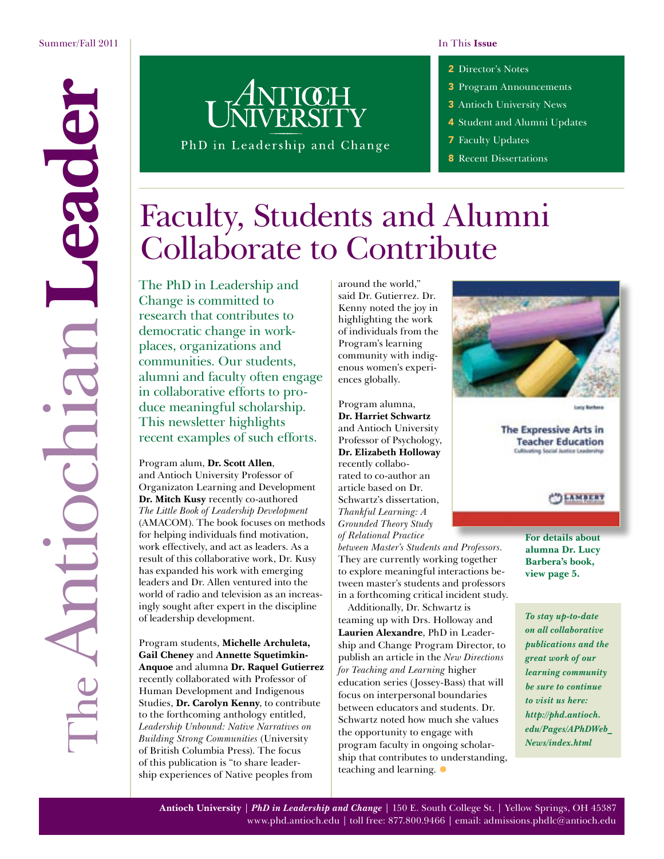e d'éc

TheAntiochian**Leader**

**Antioc** 

- 2 [Director's Notes](#page-1-0)
- 3 [Program Announcements](#page--1-0)
- 3 [Antioch University News](#page--1-0)
- 4 [Student and Alumni Updates](#page-3-0)
- **7** [Faculty Updates](#page-7-0)
- 8 [Recent Dissertations](#page-7-0)

# Faculty, Students and Alumni Collaborate to Contribute

PhD in Leadership and Change

The PhD in Leadership and Change is committed to research that contributes to democratic change in workplaces, organizations and communities. Our students, alumni and faculty often engage in collaborative efforts to produce meaningful scholarship. This newsletter highlights recent examples of such efforts.

Program alum, **Dr. Scott Allen**, and Antioch University Professor of Organizaton Learning and Development **Dr. Mitch Kusy** recently co-authored *The Little Book of Leadership Development* (AMACOM). The book focuses on methods for helping individuals find motivation, work effectively, and act as leaders. As a result of this collaborative work, Dr. Kusy has expanded his work with emerging leaders and Dr. Allen ventured into the world of radio and television as an increasingly sought after expert in the discipline of leadership development.

Program students, **Michelle Archuleta, Gail Cheney** and **Annette Squetimkin-Anquoe** and alumna **Dr. Raquel Gutierrez**  recently collaborated with Professor of Human Development and Indigenous Studies, **Dr. Carolyn Kenny**, to contribute to the forthcoming anthology entitled, *Leadership Unbound: Native Narratives on Building Strong Communities* (University of British Columbia Press). The focus of this publication is "to share leadership experiences of Native peoples from

around the world," said Dr. Gutierrez. Dr. Kenny noted the joy in highlighting the work of individuals from the Program's learning community with indigenous women's experiences globally.

Program alumna, **Dr. Harriet Schwartz** and Antioch University Professor of Psychology, **Dr. Elizabeth Holloway** recently collaborated to co-author an article based on Dr. Schwartz's dissertation, *Thankful Learning: A Grounded Theory Study of Relational Practice* 

*between Master's Students and Professors.* They are currently working together to explore meaningful interactions between master's students and professors in a forthcoming critical incident study.

Additionally, Dr. Schwartz is teaming up with Drs. Holloway and **Laurien Alexandre**, PhD in Leadership and Change Program Director, to publish an article in the *New Directions for Teaching and Learning* higher education series (Jossey-Bass) that will focus on interpersonal boundaries between educators and students. Dr. Schwartz noted how much she values the opportunity to engage with program faculty in ongoing scholarship that contributes to understanding, teaching and learning.  $\bullet$ 



The Expressive Arts in **Teacher Education** Cultivating Social Justice Leadership

**DAMBERT** 

**For details about alumna Dr. Lucy Barbera's book, view page 5.**

*To stay up-to-date on all collaborative publications and the great work of our learning community be sure to continue to visit us here: [http://phd.antioch.](http://phd.antioch.edu/Pages/APhDWeb_News/index.html) [edu/Pages/APhDWeb\\_](http://phd.antioch.edu/Pages/APhDWeb_News/index.html) [News/index.html](http://phd.antioch.edu/Pages/APhDWeb_News/index.html)*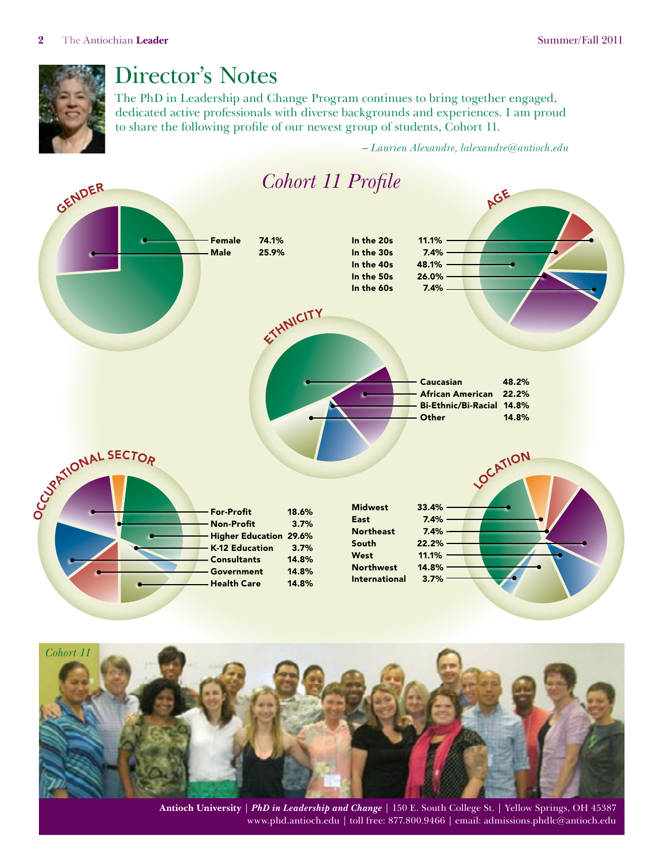<span id="page-1-0"></span>

# Director's Notes

The PhD in Leadership and Change Program continues to bring together engaged, dedicated active professionals with diverse backgrounds and experiences. I am proud to share the following profile of our newest group of students, Cohort 11.

– *Laurien Alexandre, [lalexandre@antioch.edu](mailto:lalexandre@antioch.edu)*



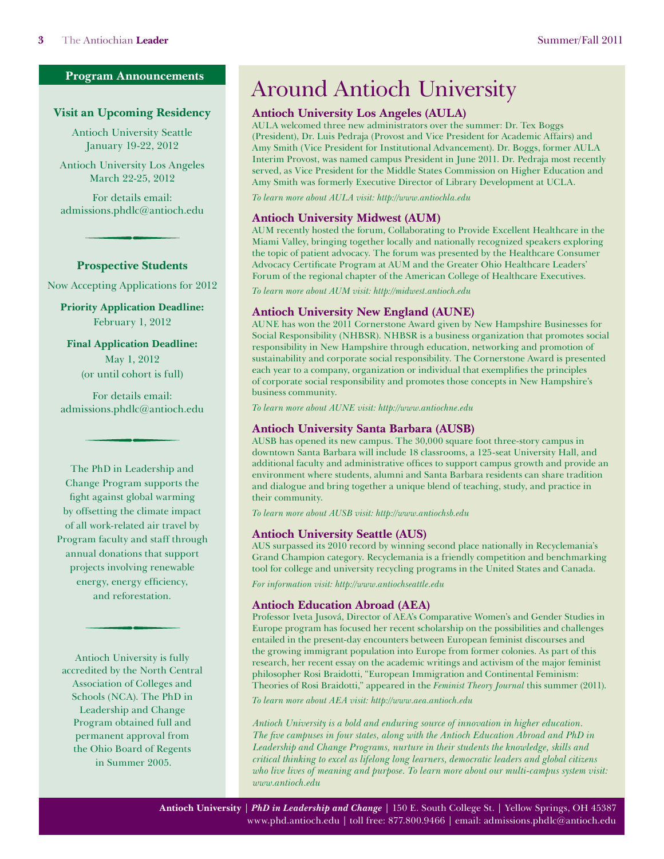### **Program Announcements**

### **Visit an Upcoming Residency**

Antioch University Seattle January 19-22, 2012

Antioch University Los Angeles March 22-25, 2012

For details email: [admissions.phdlc@antioch.edu](mailto:admissions.phdlc@antioch.edu)

### **Prospective Students**

Now Accepting Applications for 2012

**Priority Application Deadline:** February 1, 2012

**Final Application Deadline:** May 1, 2012

(or until cohort is full)

For details email: [admissions.phdlc@antioch.edu](mailto:admissions.phdlc@antioch.edu)

The PhD in Leadership and Change Program supports the fight against global warming by offsetting the climate impact of all work-related air travel by Program faculty and staff through annual donations that support projects involving renewable energy, energy efficiency, and reforestation.

Antioch University is fully accredited by the North Central Association of Colleges and Schools (NCA). The PhD in Leadership and Change Program obtained full and permanent approval from the Ohio Board of Regents in Summer 2005.

# Around Antioch University

## **Antioch University Los Angeles (AULA)**

AULA welcomed three new administrators over the summer: Dr. Tex Boggs (President), Dr. Luis Pedraja (Provost and Vice President for Academic Affairs) and Amy Smith (Vice President for Institutional Advancement). Dr. Boggs, former AULA Interim Provost, was named campus President in June 2011. Dr. Pedraja most recently served, as Vice President for the Middle States Commission on Higher Education and Amy Smith was formerly Executive Director of Library Development at UCLA.

*To learn more about AULA visit: [http://www.antiochla.edu](http://www.antiochla.edu/)*

### **Antioch University Midwest (AUM)**

AUM recently hosted the forum, Collaborating to Provide Excellent Healthcare in the Miami Valley, bringing together locally and nationally recognized speakers exploring the topic of patient advocacy. The forum was presented by the Healthcare Consumer Advocacy Certificate Program at AUM and the Greater Ohio Healthcare Leaders' Forum of the regional chapter of the American College of Healthcare Executives.

*To learn more about AUM visit: <http://midwest.antioch.edu>*

## **Antioch University New England (AUNE)**

AUNE has won the 2011 Cornerstone Award given by New Hampshire Businesses for Social Responsibility (NHBSR). NHBSR is a business organization that promotes social responsibility in New Hampshire through education, networking and promotion of sustainability and corporate social responsibility. The Cornerstone Award is presented each year to a company, organization or individual that exemplifies the principles of corporate social responsibility and promotes those concepts in New Hampshire's business community.

*To learn more about AUNE visit:<http://www.antiochne.edu>*

### **Antioch University Santa Barbara (AUSB)**

AUSB has opened its new campus. The 30,000 square foot three-story campus in downtown Santa Barbara will include 18 classrooms, a 125-seat University Hall, and additional faculty and administrative offices to support campus growth and provide an environment where students, alumni and Santa Barbara residents can share tradition and dialogue and bring together a unique blend of teaching, study, and practice in their community.

*To learn more about AUSB visit: [http://www.antiochsb.edu](http://www.antiochsb.edu/)*

### **Antioch University Seattle (AUS)**

AUS surpassed its 2010 record by winning second place nationally in Recyclemania's Grand Champion category. Recyclemania is a friendly competition and benchmarking tool for college and university recycling programs in the United States and Canada.

*For information visit: http://[www.antiochseattle.edu](http://www.antiochseattle.edu)*

### **Antioch Education Abroad (AEA)**

Professor Iveta Jusová, Director of AEA's Comparative Women's and Gender Studies in Europe program has focused her recent scholarship on the possibilities and challenges entailed in the present-day encounters between European feminist discourses and the growing immigrant population into Europe from former colonies. As part of this research, her recent essay on the academic writings and activism of the major feminist philosopher Rosi Braidotti, "European Immigration and Continental Feminism: Theories of Rosi Braidotti," appeared in the *Feminist Theory Journal* this summer (2011).

*To learn more about AEA visit:<http://www.aea.antioch.edu>*

*Antioch University is a bold and enduring source of innovation in higher education. The five campuses in four states, along with the Antioch Education Abroad and PhD in Leadership and Change Programs, nurture in their students the knowledge, skills and critical thinking to excel as lifelong long learners, democratic leaders and global citizens who live lives of meaning and purpose. To learn more about our multi-campus system visit: [www.antioch.edu](http://www.antioch.edu)*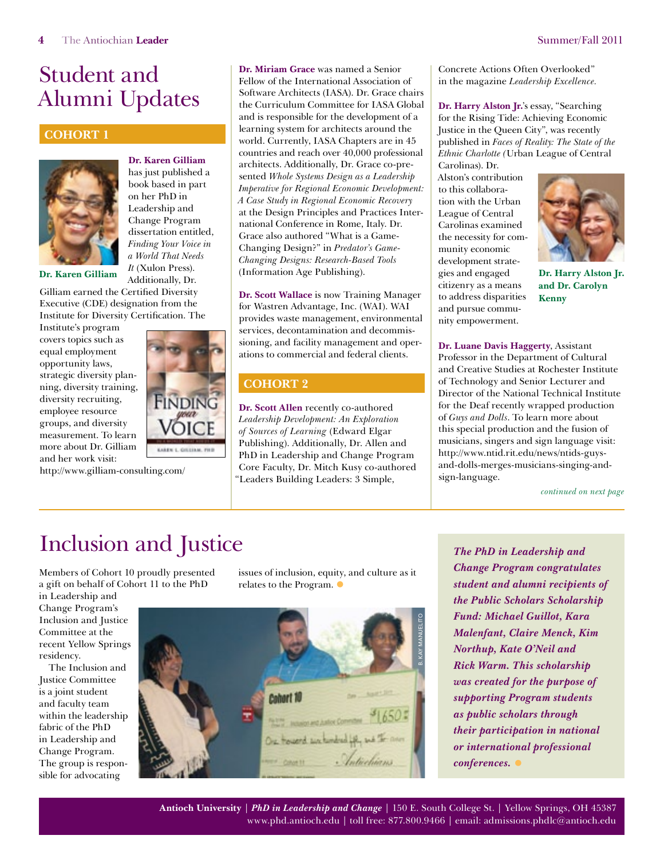# **Cohort 1**



**Dr. Karen Gilliam**  has just published a book based in part on her PhD in Leadership and Change Program dissertation entitled, *Finding Your Voice in a World That Needs It* (Xulon Press). Additionally, Dr.

Gilliam earned the Certified Diversity Executive (CDE) designation from the Institute for Diversity Certification. The

Institute's program covers topics such as equal employment opportunity laws, strategic diversity planning, diversity training, diversity recruiting, employee resource groups, and diversity measurement. To learn more about Dr. Gilliam and her work visit:

http://www.gilliam-consulting.com/

<span id="page-3-0"></span>**Dr. Miriam Grace** was named a Senior Fellow of the International Association of Software Architects (IASA). Dr. Grace chairs the Curriculum Committee for IASA Global and is responsible for the development of a learning system for architects around the world. Currently, IASA Chapters are in 45 countries and reach over 40,000 professional architects. Additionally, Dr. Grace co-presented *Whole Systems Design as a Leadership Imperative for Regional Economic Development: A Case Study in Regional Economic Recovery* at the Design Principles and Practices International Conference in Rome, Italy. Dr. Grace also authored "What is a Game-Changing Design?" in *Predator's Game-Changing Designs: Research-Based Tools*  Dr. Karen Gilliam *II* (Attionally Dr. 1585). (Information Age Publishing). gies and engaged Dr. Harry Alston Jr.

> **Dr. Scott Wallace** is now Training Manager for Wastren Advantage, Inc. (WAI). WAI provides waste management, environmental services, decontamination and decommissioning, and facility management and operations to commercial and federal clients.

# **Cohort 2**

**Dr. Scott Allen** recently co-authored *Leadership Development: An Exploration of Sources of Learning* (Edward Elgar Publishing). Additionally, Dr. Allen and PhD in Leadership and Change Program Core Faculty, Dr. Mitch Kusy co-authored "Leaders Building Leaders: 3 Simple,

Concrete Actions Often Overlooked" in the magazine *Leadership Excellence.*

**Dr. Harry Alston Jr.**'s essay, "Searching for the Rising Tide: Achieving Economic Justice in the Queen City", was recently published in *Faces of Reality: The State of the Ethnic Charlotte (*Urban League of Central Carolinas). Dr.

Alston's contribution to this collaboration with the Urban League of Central Carolinas examined the necessity for community economic development strategies and engaged citizenry as a means to address disparities and pursue community empowerment.



**and Dr. Carolyn Kenny**

**Dr. Luane Davis Haggerty**, Assistant Professor in the Department of Cultural and Creative Studies at Rochester Institute of Technology and Senior Lecturer and Director of the National Technical Institute for the Deaf recently wrapped production of *Guys and Dolls*. To learn more about this special production and the fusion of musicians, singers and sign language visit: http://www.ntid.rit.edu/news/ntids-guysand-dolls-merges-musicians-singing-andsign-language.

*[continued on next page](#page-4-0)*

# Inclusion and Justice

Members of Cohort 10 proudly presented a gift on behalf of Cohort 11 to the PhD

in Leadership and Change Program's Inclusion and Justice Committee at the recent Yellow Springs residency.

The Inclusion and Justice Committee is a joint student and faculty team within the leadership fabric of the PhD in Leadership and Change Program. The group is responsible for advocating

issues of inclusion, equity, and culture as it relates to the Program.  $\bullet$ 



*The PhD in Leadership and Change Program congratulates student and alumni recipients of the Public Scholars Scholarship Fund: Michael Guillot, Kara Malenfant, Claire Menck, Kim Northup, Kate O'Neil and Rick Warm. This scholarship was created for the purpose of supporting Program students as public scholars through their participation in national or international professional conferences.* •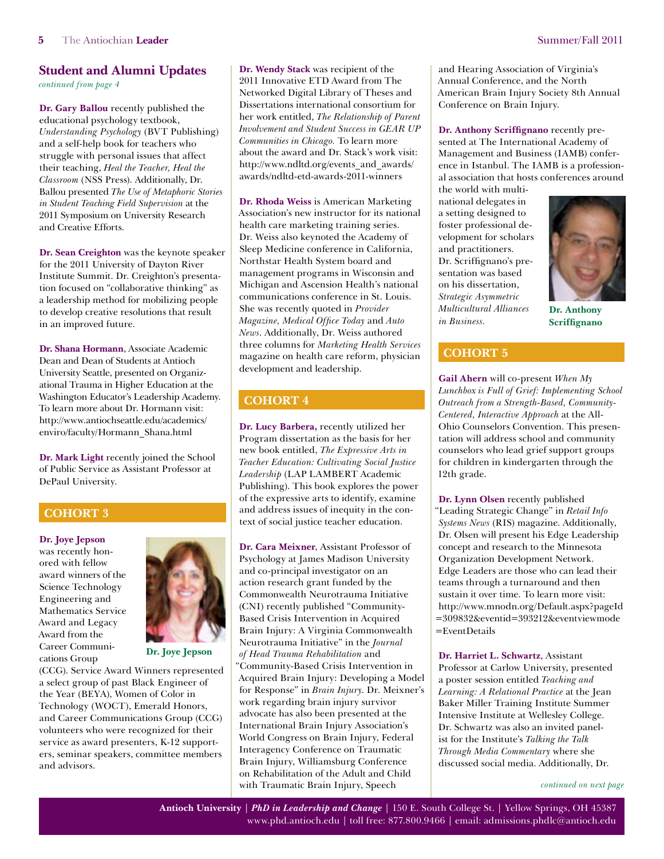<span id="page-4-0"></span>*[continued from page 4](#page-3-0)*

**Dr. Gary Ballou** recently published the educational psychology textbook, *Understanding Psychology* (BVT Publishing) and a self-help book for teachers who struggle with personal issues that affect their teaching, *Heal the Teacher, Heal the Classroom* (NSS Press). Additionally, Dr. Ballou presented *The Use of Metaphoric Stories in Student Teaching Field Supervision* at the 2011 Symposium on University Research and Creative Efforts.

**Dr. Sean Creighton** was the keynote speaker for the 2011 University of Dayton River Institute Summit. Dr. Creighton's presentation focused on "collaborative thinking" as a leadership method for mobilizing people to develop creative resolutions that result in an improved future.

**Dr. Shana Hormann**, Associate Academic Dean and Dean of Students at Antioch University Seattle, presented on Organizational Trauma in Higher Education at the Washington Educator's Leadership Academy. To learn more about Dr. Hormann visit: [http://www.antiochseattle.edu/academics/](http://www.antiochseattle.edu/academics/enviro/faculty/Hormann_Shana.html) [enviro/faculty/Hormann\\_Shana.html](http://www.antiochseattle.edu/academics/enviro/faculty/Hormann_Shana.html)

**Dr. Mark Light** recently joined the School of Public Service as Assistant Professor at DePaul University.

# **Cohort 3**

**Dr. Joye Jepson**

was recently honored with fellow award winners of the Science Technology Engineering and Mathematics Service Award and Legacy Award from the Career Communications Group



**Dr. Joye Jepson** 

(CCG). Service Award Winners represented a select group of past Black Engineer of the Year (BEYA), Women of Color in Technology (WOCT), Emerald Honors, and Career Communications Group (CCG) volunteers who were recognized for their service as award presenters, K-12 supporters, seminar speakers, committee members and advisors.

**Dr. Wendy Stack** was recipient of the 2011 Innovative ETD Award from The Networked Digital Library of Theses and Dissertations international consortium for her work entitled, *The Relationship of Parent Involvement and Student Success in GEAR UP Communities in Chicago.* To learn more about the award and Dr. Stack's work visit: [http://www.ndltd.org/events\\_and\\_awards/](http://www.ndltd.org/events_and_awards/awards/ndltd-etd-awards-2011-winners) [awards/ndltd-etd-awards-2011-winners](http://www.ndltd.org/events_and_awards/awards/ndltd-etd-awards-2011-winners)

**Dr. Rhoda Weiss** is American Marketing Association's new instructor for its national health care marketing training series. Dr. Weiss also keynoted the Academy of Sleep Medicine conference in California, Northstar Health System board and management programs in Wisconsin and Michigan and Ascension Health's national communications conference in St. Louis. She was recently quoted in *Provider Magazine, Medical Office Today* and *Auto News*. Additionally, Dr. Weiss authored three columns for *Marketing Health Services*  magazine on health care reform, physician development and leadership.

# **Cohort 4**

**Dr. Lucy Barbera,** recently utilized her Program dissertation as the basis for her new book entitled, *The Expressive Arts in Teacher Education: Cultivating Social Justice Leadership* (LAP LAMBERT Academic Publishing). This book explores the power of the expressive arts to identify, examine and address issues of inequity in the context of social justice teacher education.

**Dr. Cara Meixner**, Assistant Professor of Psychology at James Madison University and co-principal investigator on an action research grant funded by the Commonwealth Neurotrauma Initiative (CNI) recently published "Community-Based Crisis Intervention in Acquired Brain Injury: A Virginia Commonwealth Neurotrauma Initiative" in the *Journal of Head Trauma Rehabilitation* and "Community-Based Crisis Intervention in Acquired Brain Injury: Developing a Model for Response" in *Brain Injury*. Dr. Meixner's work regarding brain injury survivor advocate has also been presented at the International Brain Injury Association's World Congress on Brain Injury, Federal Interagency Conference on Traumatic Brain Injury, Williamsburg Conference on Rehabilitation of the Adult and Child with Traumatic Brain Injury, Speech

and Hearing Association of Virginia's Annual Conference, and the North American Brain Injury Society 8th Annual Conference on Brain Injury.

**Dr. Anthony Scriffignano** recently presented at The International Academy of Management and Business (IAMB) conference in Istanbul. The IAMB is a professional association that hosts conferences around

the world with multinational delegates in a setting designed to foster professional development for scholars and practitioners. Dr. Scriffignano's presentation was based on his dissertation, *Strategic Asymmetric Multicultural Alliances in Business.*



**Dr. Anthony Scriffignano**

# **COHORT 5**

**Gail Ahern** will co-present *When My Lunchbox is Full of Grief: Implementing School Outreach from a Strength-Based, Community-Centered, Interactive Approach* at the All-Ohio Counselors Convention. This presentation will address school and community counselors who lead grief support groups for children in kindergarten through the 12th grade.

**Dr. Lynn Olsen** recently published "Leading Strategic Change" in *Retail Info Systems News* (RIS) magazine. Additionally, Dr. Olsen will present his Edge Leadership concept and research to the Minnesota Organization Development Network. Edge Leaders are those who can lead their teams through a turnaround and then sustain it over time. To learn more visit: [http://www.mnodn.org/Default.aspx?pageId](http://www.mnodn.org/Default.aspx?pageId=309832&eventid=393212&eventviewmode=EventDetails) [=309832&eventid=393212&eventviewmode](http://www.mnodn.org/Default.aspx?pageId=309832&eventid=393212&eventviewmode=EventDetails) [=EventDetails](http://www.mnodn.org/Default.aspx?pageId=309832&eventid=393212&eventviewmode=EventDetails)

**Dr. Harriet L. Schwartz**, Assistant Professor at Carlow University, presented a poster session entitled *Teaching and Learning: A Relational Practice* at the Jean Baker Miller Training Institute Summer Intensive Institute at Wellesley College. Dr. Schwartz was also an invited panelist for the Institute's *Talking the Talk Through Media Commentary* where she discussed social media. Additionally, Dr.

*[continued on next page](#page--1-0)*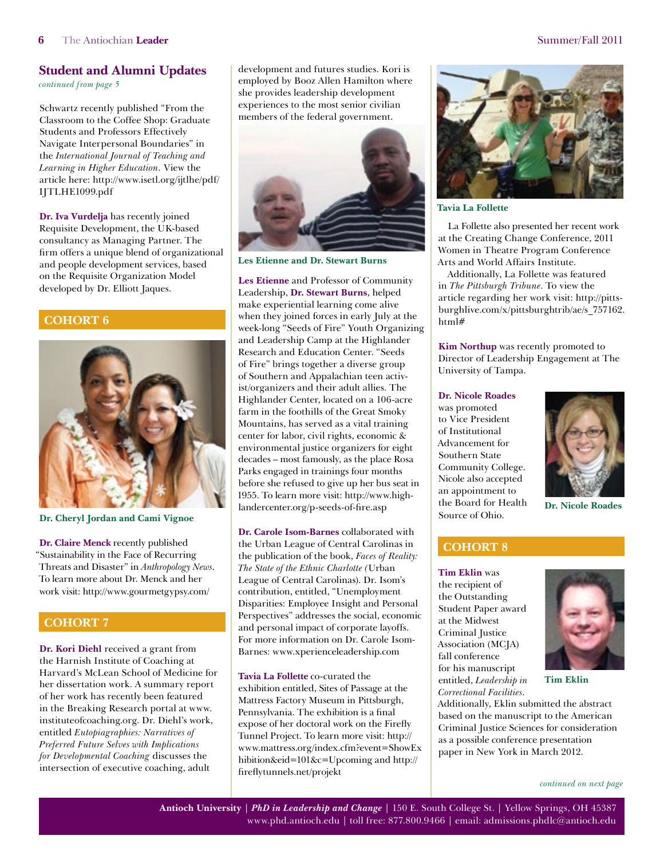*[continued from page](#page-4-0) 5*

Schwartz recently published "From the Classroom to the Coffee Shop: Graduate Students and Professors Effectively Navigate Interpersonal Boundaries" in the *International Journal of Teaching and Learning in Higher Education*. View the article here: [http://www.isetl.org/ijtlhe/pdf/](http://www.isetl.org/ijtlhe/pdf/IJTLHE1099.pdf) [IJTLHE1099.pdf](http://www.isetl.org/ijtlhe/pdf/IJTLHE1099.pdf)

**Dr. Iva Vurdelja** has recently joined Requisite Development, the UK-based consultancy as Managing Partner. The firm offers a unique blend of organizational and people development services, based on the Requisite Organization Model developed by Dr. Elliott Jaques.

## **COHORT 6**



**Dr. Cheryl Jordan and Cami Vignoe**

**Dr. Claire Menck** recently published "Sustainability in the Face of Recurring Threats and Disaster" in *Anthropology News*. To learn more about Dr. Menck and her work visit: http://www.gourmetgypsy.com/

# **Cohort 7**

**Dr. Kori Diehl** received a grant from the Harnish Institute of Coaching at Harvard's McLean School of Medicine for her dissertation work. A summary report of her work has recently been featured in the Breaking Research portal at www. instituteofcoaching.org. Dr. Diehl's work, entitled *Eutopiagraphies: Narratives of Preferred Future Selves with Implications for Developmental Coaching* discusses the intersection of executive coaching, adult

development and futures studies. Kori is employed by Booz Allen Hamilton where she provides leadership development experiences to the most senior civilian members of the federal government.



**Les Etienne and Dr. Stewart Burns**

**Les Etienne** and Professor of Community Leadership, **Dr. Stewart Burns**, helped make experiential learning come alive when they joined forces in early July at the week-long "Seeds of Fire" Youth Organizing and Leadership Camp at the Highlander Research and Education Center. "Seeds of Fire" brings together a diverse group of Southern and Appalachian teen activist/organizers and their adult allies. The Highlander Center, located on a 106-acre farm in the foothills of the Great Smoky Mountains, has served as a vital training center for labor, civil rights, economic & environmental justice organizers for eight decades – most famously, as the place Rosa Parks engaged in trainings four months before she refused to give up her bus seat in 1955. To learn more visit: [http://www.high](http://www.highlandercenter.org/p-seeds-of-fire.asp)[landercenter.org/p-seeds-of-fire.asp](http://www.highlandercenter.org/p-seeds-of-fire.asp)

**Dr. Carole Isom-Barnes** collaborated with the Urban League of Central Carolinas in the publication of the book, *Faces of Reality: The State of the Ethnic Charlotte (*Urban League of Central Carolinas). Dr. Isom's contribution, entitled, "Unemployment Disparities: Employee Insight and Personal Perspectives" addresses the social, economic and personal impact of corporate layoffs. For more information on Dr. Carole Isom-Barnes: www.xperienceleadership.com

**Tavia La Follette** co-curated the exhibition entitled, Sites of Passage at the Mattress Factory Museum in Pittsburgh, Pennsylvania. The exhibition is a final expose of her doctoral work on the Firefly Tunnel Project. To learn more visit: [http://](http://www.mattress.org/index.cfm?event=ShowExhibition&eid=101&c=Upcoming) [www.mattress.org/index.cfm?event=ShowEx](http://www.mattress.org/index.cfm?event=ShowExhibition&eid=101&c=Upcoming) [hibition&eid=101&c=Upcoming](http://www.mattress.org/index.cfm?event=ShowExhibition&eid=101&c=Upcoming) and http:// fireflytunnels.net/projekt



**Tavia La Follette** 

La Follette also presented her recent work at the Creating Change Conference, 2011 Women in Theatre Program Conference Arts and World Affairs Institute.

Additionally, La Follette was featured in *The Pittsburgh Tribune*. To view the article regarding her work visit: [http://pitts](http://pittsburghlive.com/x/pittsburghtrib/ae/s_757162.html#)[burghlive.com/x/pittsburghtrib/ae/s\\_757162.](http://pittsburghlive.com/x/pittsburghtrib/ae/s_757162.html#) [html#](http://pittsburghlive.com/x/pittsburghtrib/ae/s_757162.html#)

**Kim Northup** was recently promoted to Director of Leadership Engagement at The University of Tampa.

### **Dr. Nicole Roades**

was promoted to Vice President of Institutional Advancement for Southern State Community College. Nicole also accepted an appointment to the Board for Health Source of Ohio.



**Dr. Nicole Roades** 

# **Cohort 8**

**Tim Eklin** was the recipient of the Outstanding Student Paper award at the Midwest Criminal Justice Association (MCJA) fall conference for his manuscript entitled, *Leadership in Correctional Facilities*.

Additionally, Eklin submitted the abstract based on the manuscript to the American Criminal Justice Sciences for consideration as a possible conference presentation paper in New York in March 2012.

*[continued on next page](#page--1-0)*

**Tim Eklin**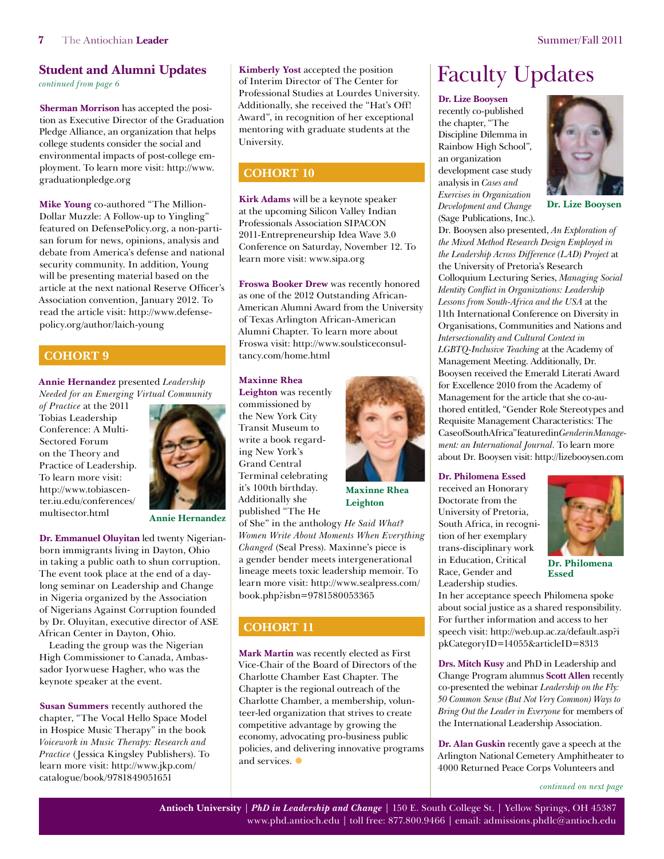**Sherman Morrison** has accepted the position as Executive Director of the Graduation Pledge Alliance, an organization that helps college students consider the social and environmental impacts of post-college employment. To learn more visit: [http://www.](http://www.graduationpledge.org) [graduationpledge.org](http://www.graduationpledge.org)

**Mike Young** co-authored "The Million-Dollar Muzzle: A Follow-up to Yingling" featured on DefensePolicy.org, a non-partisan forum for news, opinions, analysis and debate from America's defense and national security community. In addition, Young will be presenting material based on the article at the next national Reserve Officer's Association convention, January 2012. To read the article visit: [http://www.defense](http://www.defensepolicy.org/author/laich-young)[policy.org/author/laich-young](http://www.defensepolicy.org/author/laich-young)

## **Cohort 9**

**Annie Hernandez** presented *Leadership Needed for an Emerging Virtual Community* 

*of Practice* at the 2011 Tobias Leadership Conference: A Multi-Sectored Forum on the Theory and Practice of Leadership. To learn more visit: [http://www.tobiascen](http://www.tobiascenter.iu.edu/conferences/multisector.html)[ter.iu.edu/conferences/](http://www.tobiascenter.iu.edu/conferences/multisector.html) [multisector.html](http://www.tobiascenter.iu.edu/conferences/multisector.html)



**Annie Hernandez**

**Dr. Emmanuel Oluyitan** led twenty Nigerianborn immigrants living in Dayton, Ohio in taking a public oath to shun corruption. The event took place at the end of a daylong seminar on Leadership and Change in Nigeria organized by the Association of Nigerians Against Corruption founded by Dr. Oluyitan, executive director of ASE African Center in Dayton, Ohio.

Leading the group was the Nigerian High Commissioner to Canada, Ambassador Iyorwuese Hagher, who was the keynote speaker at the event.

**Susan Summers** recently authored the chapter, "The Vocal Hello Space Model in Hospice Music Therapy" in the book *Voicework in Music Therapy: Research and Practice* (Jessica Kingsley Publishers). To learn more visit: [http://www.jkp.com/](http://www.jkp.com/catalogue/book/9781849051651) [catalogue/book/9781849051651](http://www.jkp.com/catalogue/book/9781849051651)

**Kimberly Yost** accepted the position of Interim Director of The Center for Professional Studies at Lourdes University. Additionally, she received the "Hat's Off! Award", in recognition of her exceptional mentoring with graduate students at the University. **Student and Alumni Updates** Kimberly Yost accepted the position Faculty Updates continued from page 6

# **COHORT 10**

**Kirk Adams** will be a keynote speaker at the upcoming Silicon Valley Indian Professionals Association SIPACON 2011-Entrepreneurship Idea Wave 3.0 Conference on Saturday, November 12. To learn more visit: www.sipa.org

**Froswa Booker Drew** was recently honored as one of the 2012 Outstanding African-American Alumni Award from the University of Texas Arlington African-American Alumni Chapter. To learn more about Froswa visit: [http://www.soulsticeconsul](http://www.soulsticeconsultancy.com/home.html)[tancy.com/home.html](http://www.soulsticeconsultancy.com/home.html)

### **Maxinne Rhea**

**Leighton** was recently commissioned by the New York City Transit Museum to write a book regarding New York's Grand Central Terminal celebrating it's 100th birthday. Additionally she published "The He



**Maxinne Rhea Leighton**

of She" in the anthology *He Said What? Women Write About Moments When Everything Changed* (Seal Press). Maxinne's piece is a gender bender meets intergenerational lineage meets toxic leadership memoir. To learn more visit: [http://www.sealpress.com/](http://www.sealpress.com/book.php?isbn=9781580053365) [book.php?isbn=9781580053365](http://www.sealpress.com/book.php?isbn=9781580053365)

# **COHORT 11**

**Mark Martin** was recently elected as First Vice-Chair of the Board of Directors of the Charlotte Chamber East Chapter. The Chapter is the regional outreach of the Charlotte Chamber, a membership, volunteer-led organization that strives to create competitive advantage by growing the economy, advocating pro-business public policies, and delivering innovative programs and services.  $\bullet$ 

### **Dr. Lize Booysen**

recently co-published the chapter, "The Discipline Dilemma in Rainbow High School", an organization development case study analysis in *Cases and Exercises in Organization Development and Change* (Sage Publications, Inc.).



**Dr. Lize Booysen**

Dr. Booysen also presented, *An Exploration of the Mixed Method Research Design Employed in the Leadership Across Difference (LAD) Project* at the University of Pretoria's Research Colloquium Lecturing Series, *Managing Social Identity Conflict in Organizations: Leadership Lessons from South-Africa and the USA* at the 11th International Conference on Diversity in Organisations, Communities and Nations and *Intersectionality and Cultural Context in LGBTQ-Inclusive Teaching* at the Academy of Management Meeting. Additionally, Dr. Booysen received the Emerald Literati Award for Excellence 2010 from the Academy of Management for the article that she co-authored entitled, "Gender Role Stereotypes and Requisite Management Characteristics: The Case of South Africa" featured in *Gender in Management: an International Journal.* To learn more about Dr. Booysen visit: http://lizebooysen.com

### **Dr. Philomena Essed**

received an Honorary Doctorate from the University of Pretoria, South Africa, in recognition of her exemplary trans-disciplinary work in Education, Critical Race, Gender and Leadership studies.



**Dr. Philomena Essed**

In her acceptance speech Philomena spoke about social justice as a shared responsibility. For further information and access to her speech visit: [http://web.up.ac.za/default.asp?i](http://web.up.ac.za/default.asp?ipkCategoryID=14055&articleID=8313) [pkCategoryID=14055&articleID=8313](http://web.up.ac.za/default.asp?ipkCategoryID=14055&articleID=8313)

**Drs. Mitch Kusy** and PhD in Leadership and Change Program alumnus **Scott Allen** recently co-presented the webinar *Leadership on the Fly: 50 Common Sense (But Not Very Common) Ways to Bring Out the Leader in Everyone* for members of the International Leadership Association.

**Dr. Alan Guskin** recently gave a speech at the Arlington National Cemetery Amphitheater to 4000 Returned Peace Corps Volunteers and

*[continued on next page](#page-7-0)*